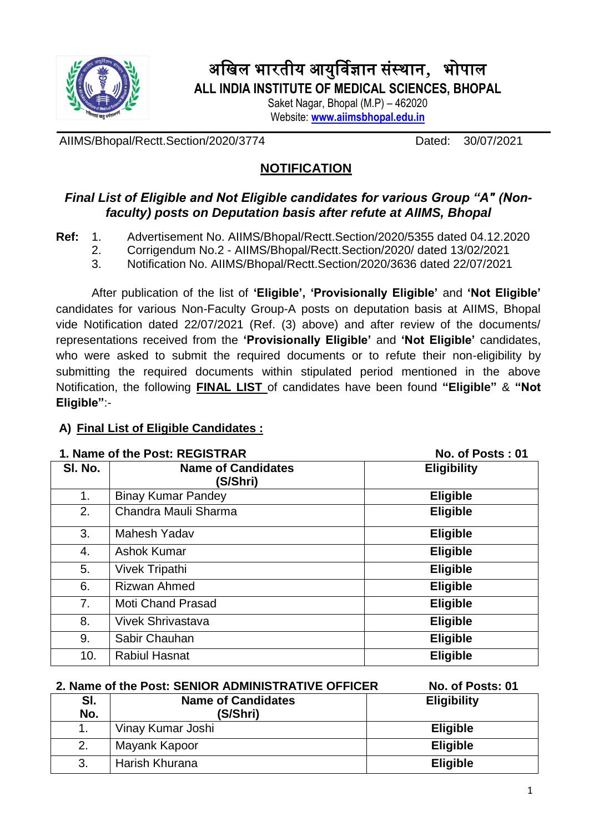

# अखिल भारतीय आयुर्विज्ञान संस्थान, भोपाल **ALL INDIA INSTITUTE OF MEDICAL SCIENCES, BHOPAL**

Saket Nagar, Bhopal (M.P) – 462020 Website: **[www.aiimsbhopal.edu.in](http://www.aiimsbhopal.edu.in/)**

AIIMS/Bhopal/Rectt.Section/2020/3774 Dated: 30/07/2021

# **NOTIFICATION**

# *Final List of Eligible and Not Eligible candidates for various Group "A" (Nonfaculty) posts on Deputation basis after refute at AIIMS, Bhopal*

**Ref:** 1. Advertisement No. AIIMS/Bhopal/Rectt.Section/2020/5355 dated 04.12.2020

- 2. Corrigendum No.2 AIIMS/Bhopal/Rectt.Section/2020/ dated 13/02/2021
- 3. Notification No. AIIMS/Bhopal/Rectt.Section/2020/3636 dated 22/07/2021

After publication of the list of **'Eligible', 'Provisionally Eligible'** and **'Not Eligible'** candidates for various Non-Faculty Group-A posts on deputation basis at AIIMS, Bhopal vide Notification dated 22/07/2021 (Ref. (3) above) and after review of the documents/ representations received from the **'Provisionally Eligible'** and **'Not Eligible'** candidates, who were asked to submit the required documents or to refute their non-eligibility by submitting the required documents within stipulated period mentioned in the above Notification, the following **FINAL LIST** of candidates have been found **"Eligible"** & **"Not Eligible"**:-

# **A) Final List of Eligible Candidates :**

| 1. Name of the Post: REGISTRAR |                                       | No. of Posts: 01   |
|--------------------------------|---------------------------------------|--------------------|
| SI. No.                        | <b>Name of Candidates</b><br>(S/Shri) | <b>Eligibility</b> |
| 1.                             | <b>Binay Kumar Pandey</b>             | <b>Eligible</b>    |
| 2.                             | Chandra Mauli Sharma                  | <b>Eligible</b>    |
| 3.                             | <b>Mahesh Yadav</b>                   | <b>Eligible</b>    |
| 4.                             | <b>Ashok Kumar</b>                    | <b>Eligible</b>    |
| 5.                             | <b>Vivek Tripathi</b>                 | <b>Eligible</b>    |
| 6.                             | <b>Rizwan Ahmed</b>                   | <b>Eligible</b>    |
| 7.                             | <b>Moti Chand Prasad</b>              | <b>Eligible</b>    |
| 8.                             | <b>Vivek Shrivastava</b>              | <b>Eligible</b>    |
| 9.                             | Sabir Chauhan                         | <b>Eligible</b>    |
| 10.                            | <b>Rabiul Hasnat</b>                  | <b>Eligible</b>    |

| 2. Name of the Post: SENIOR ADMINISTRATIVE OFFICER |                                       | No. of Posts: 01   |
|----------------------------------------------------|---------------------------------------|--------------------|
| SI.<br>No.                                         | <b>Name of Candidates</b><br>(S/Shri) | <b>Eligibility</b> |
| 1.                                                 | Vinay Kumar Joshi                     | <b>Eligible</b>    |
| 2.                                                 | Mayank Kapoor                         | <b>Eligible</b>    |
| 3.                                                 | Harish Khurana                        | <b>Eligible</b>    |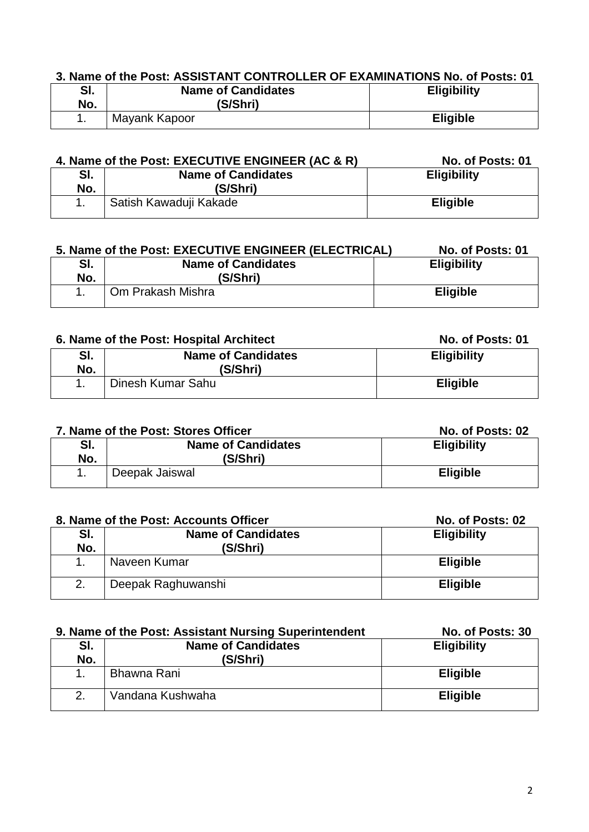# **3. Name of the Post: ASSISTANT CONTROLLER OF EXAMINATIONS No. of Posts: 01**

| e.<br>וס.<br>No. | <b>Name of Candidates</b><br>(S/Shri) | <b>Eligibility</b> |
|------------------|---------------------------------------|--------------------|
|                  | Mayank Kapoor                         | <b>Eligible</b>    |

| 4. Name of the Post: EXECUTIVE ENGINEER (AC & R) |                           | No. of Posts: 01   |
|--------------------------------------------------|---------------------------|--------------------|
| SI.                                              | <b>Name of Candidates</b> | <b>Eligibility</b> |
| No.                                              | (S/Shri)                  |                    |
| Satish Kawaduji Kakade                           |                           | <b>Eligible</b>    |

|            | 5. Name of the Post: EXECUTIVE ENGINEER (ELECTRICAL) | No. of Posts: 01   |
|------------|------------------------------------------------------|--------------------|
| SI.<br>No. | <b>Name of Candidates</b><br>(S/Shri)                | <b>Eligibility</b> |
|            | Om Prakash Mishra                                    | <b>Eligible</b>    |

#### **6. Name of the Post: Hospital Architect No. of Posts: 01**

| SI.<br>No. | <b>Name of Candidates</b><br>(S/Shri) | <b>Eligibility</b> |
|------------|---------------------------------------|--------------------|
|            | Dinesh Kumar Sahu                     | <b>Eligible</b>    |

| 7. Name of the Post: Stores Officer |                                       | No. of Posts: 02   |
|-------------------------------------|---------------------------------------|--------------------|
| SI.<br>No.                          | <b>Name of Candidates</b><br>(S/Shri) | <b>Eligibility</b> |
|                                     | Deepak Jaiswal                        | <b>Eligible</b>    |

| 8. Name of the Post: Accounts Officer |                           | No. of Posts: 02   |
|---------------------------------------|---------------------------|--------------------|
| SI.                                   | <b>Name of Candidates</b> | <b>Eligibility</b> |
| No.                                   | (S/Shri)                  |                    |
|                                       | Naveen Kumar              | <b>Eligible</b>    |
| 2.                                    | Deepak Raghuwanshi        | <b>Eligible</b>    |

| 9. Name of the Post: Assistant Nursing Superintendent | No. of Posts: 30 |
|-------------------------------------------------------|------------------|
|-------------------------------------------------------|------------------|

| SI.<br>No. | <b>Name of Candidates</b><br>(S/Shri) | <b>Eligibility</b> |
|------------|---------------------------------------|--------------------|
|            | Bhawna Rani                           | <b>Eligible</b>    |
| 2.         | Vandana Kushwaha                      | <b>Eligible</b>    |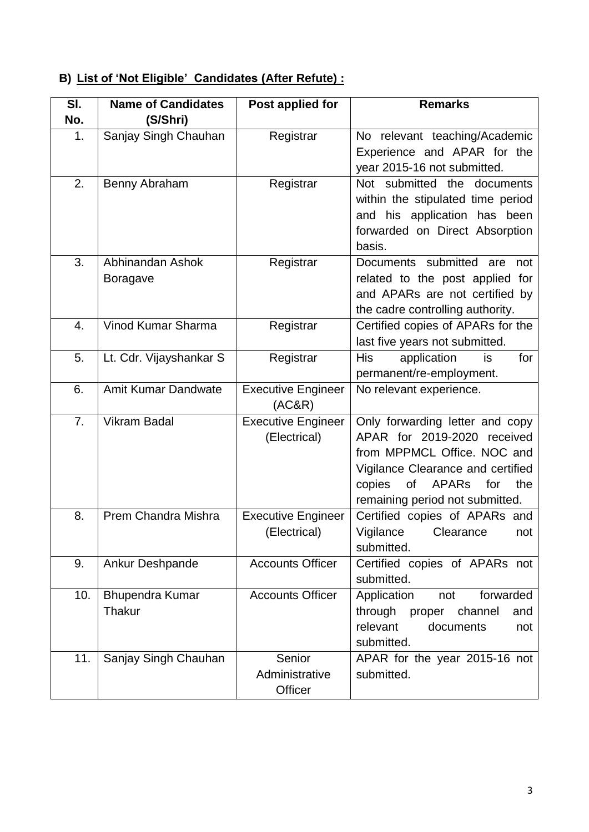# **B) List of 'Not Eligible' Candidates (After Refute) :**

| SI.              | <b>Name of Candidates</b>           | Post applied for                          | <b>Remarks</b>                                                                                                                                                                                                      |
|------------------|-------------------------------------|-------------------------------------------|---------------------------------------------------------------------------------------------------------------------------------------------------------------------------------------------------------------------|
| No.              | (S/Shri)                            |                                           |                                                                                                                                                                                                                     |
| 1.               | Sanjay Singh Chauhan                | Registrar                                 | No relevant teaching/Academic<br>Experience and APAR for the<br>year 2015-16 not submitted.                                                                                                                         |
| $\overline{2}$ . | Benny Abraham                       | Registrar                                 | Not submitted the documents<br>within the stipulated time period<br>and his application has been<br>forwarded on Direct Absorption<br>basis.                                                                        |
| 3.               | Abhinandan Ashok<br><b>Boragave</b> | Registrar                                 | Documents submitted are<br>not<br>related to the post applied for<br>and APARs are not certified by<br>the cadre controlling authority.                                                                             |
| 4.               | Vinod Kumar Sharma                  | Registrar                                 | Certified copies of APARs for the<br>last five years not submitted.                                                                                                                                                 |
| 5.               | Lt. Cdr. Vijayshankar S             | Registrar                                 | <b>His</b><br>application<br>for<br>is<br>permanent/re-employment.                                                                                                                                                  |
| 6.               | <b>Amit Kumar Dandwate</b>          | <b>Executive Engineer</b><br>(AC&R)       | No relevant experience.                                                                                                                                                                                             |
| 7.               | <b>Vikram Badal</b>                 | <b>Executive Engineer</b><br>(Electrical) | Only forwarding letter and copy<br>APAR for 2019-2020 received<br>from MPPMCL Office. NOC and<br>Vigilance Clearance and certified<br>of<br><b>APARs</b><br>for<br>copies<br>the<br>remaining period not submitted. |
| 8.               | Prem Chandra Mishra                 | <b>Executive Engineer</b><br>(Electrical) | Certified copies of APARs and<br>Vigilance<br>Clearance<br>not<br>submitted.                                                                                                                                        |
| 9.               | Ankur Deshpande                     | <b>Accounts Officer</b>                   | Certified copies of APARs not<br>submitted.                                                                                                                                                                         |
| 10.              | <b>Bhupendra Kumar</b><br>Thakur    | <b>Accounts Officer</b>                   | Application<br>forwarded<br>not<br>through<br>proper<br>channel<br>and<br>relevant<br>documents<br>not<br>submitted.                                                                                                |
| 11.              | Sanjay Singh Chauhan                | Senior<br>Administrative<br>Officer       | APAR for the year 2015-16 not<br>submitted.                                                                                                                                                                         |